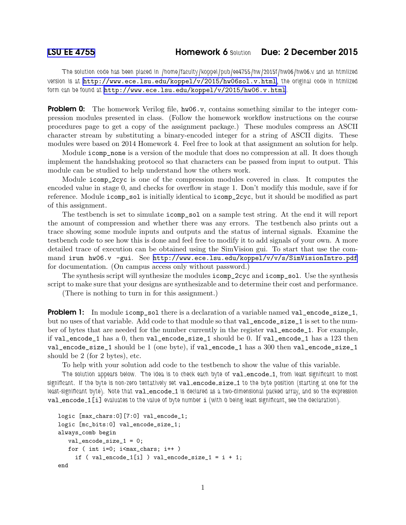*The solution code has been placed in /home/faculty/koppel/pub/ee4755/hw/2015f/hw06/hw06.v and an htmlized version is at* <http://www.ece.lsu.edu/koppel/v/2015/hw06sol.v.html>*, the original code in htmlized form can be found at* <http://www.ece.lsu.edu/koppel/v/2015/hw06.v.html>*.*

**Problem 0:** The homework Verilog file, hw06.v, contains something similar to the integer compression modules presented in class. (Follow the homework workflow instructions on the course procedures page to get a copy of the assignment package.) These modules compress an ASCII character stream by substituting a binary-encoded integer for a string of ASCII digits. These modules were based on 2014 Homework 4. Feel free to look at that assignment an solution for help.

Module icomp\_none is a version of the module that does no compression at all. It does though implement the handshaking protocol so that characters can be passed from input to output. This module can be studied to help understand how the others work.

Module icomp\_2cyc is one of the compression modules covered in class. It computes the encoded value in stage 0, and checks for overflow in stage 1. Don't modify this module, save if for reference. Module icomp\_sol is initially identical to icomp\_2cyc, but it should be modified as part of this assignment.

The testbench is set to simulate icomp\_sol on a sample test string. At the end it will report the amount of compression and whether there was any errors. The testbench also prints out a trace showing some module inputs and outputs and the status of internal signals. Examine the testbench code to see how this is done and feel free to modify it to add signals of your own. A more detailed trace of execution can be obtained using the SimVision gui. To start that use the command irun hw06.v -gui. See <http://www.ece.lsu.edu/koppel/v/v/s/SimVisionIntro.pdf> for documentation. (On campus access only without password.)

The synthesis script will synthesize the modules icomp\_2cyc and icomp\_sol. Use the synthesis script to make sure that your designs are synthesizable and to determine their cost and performance.

(There is nothing to turn in for this assignment.)

**Problem 1:** In module icomp\_sol there is a declaration of a variable named val\_encode\_size\_1, but no uses of that variable. Add code to that module so that val\_encode\_size\_1 is set to the number of bytes that are needed for the number currently in the register val\_encode\_1. For example, if val\_encode\_1 has a 0, then val\_encode\_size\_1 should be 0. If val\_encode\_1 has a 123 then val\_encode\_size\_1 should be 1 (one byte), if val\_encode\_1 has a 300 then val\_encode\_size\_1 should be 2 (for 2 bytes), etc.

To help with your solution add code to the testbench to show the value of this variable.

*The solution appears below. The idea is to check each byte of* val encode 1*, from least significant to most significant. If the byte is non-zero tentatively set* val encode size 1 *to the byte position (starting at one for the least-significant byte). Note that val\_encode\_1 is declared as a two-dimensional packed array, and so the expression* val encode 1[i] *evaluates to the value of byte number* i *(with 0 being least significant, see the declaration).*

```
logic [max_chars:0][7:0] val_encode_1;
logic [mc_bits:0] val_encode_size_1;
always_comb begin
  val_encode_size_1 = 0;
  for ( int i=0; i<max_chars; i++ )
    if (val\_encode_1[i]) val\_encode\_size_1 = i + 1;end
```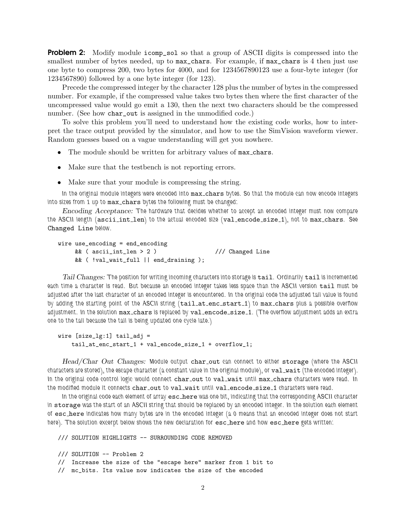**Problem 2:** Modify module icomp\_sol so that a group of ASCII digits is compressed into the smallest number of bytes needed, up to  $max_{\text{c}}$  chars. For example, if  $max_{\text{c}}$  chars is 4 then just use one byte to compress 200, two bytes for 4000, and for 1234567890123 use a four-byte integer (for 1234567890) followed by a one byte integer (for 123).

Precede the compressed integer by the character 128 plus the number of bytes in the compressed number. For example, if the compressed value takes two bytes then where the first character of the uncompressed value would go emit a 130, then the next two characters should be the compressed number. (See how char\_out is assigned in the unmodified code.)

To solve this problem you'll need to understand how the existing code works, how to interpret the trace output provided by the simulator, and how to use the SimVision waveform viewer. Random guesses based on a vague understanding will get you nowhere.

- The module should be written for arbitrary values of max chars.
- Make sure that the testbench is not reporting errors.
- Make sure that your module is compressing the string.

*In the original module integers were encoded into* max chars *bytes. So that the module can now encode integers into sizes from 1 up to* max chars *bytes the following must be changed:*

Encoding Acceptance: *The hardware that decides whether to accept an encoded integer must now compare the ASCII length (*ascii int len*) to the actual encoded size (*val encode size 1*), not to* max chars*. See* Changed Line *below.*

```
wire use_encoding = end_encoding
    &\& ( ascii_int_len > 2 ) // Changed Line
    && ( !val_wait_full || end_draining );
```
Tail Changes: The position for writing incoming characters into storage is tail. Ordinarily tail is incremented *each time a character is read. But because an encoded integer takes less space than the ASCII version* tail *must be adjusted after the last character of an encoded integer is encountered. In the original code the adjusted tail value is found by adding the starting point of the ASCII string (*tail at enc start 1*) to* max chars *plus a possible overflow adjustment. In the solution* max chars *is replaced by* val encode size 1*. (The overflow adjustment adds an extra one to the tail because the tail is being updated one cycle late.)*

```
wire [size_lg:1] tail_adj =
    tail_at_enc_start_1 + val_encode_size_1 + overflow_1;
```
Head/Char Out Changes: Module output char out can connect to either storage *(where the ASCII characters are stored), the escape character (a constant value in the original module), or* val\_wait *(the encoded integer)*. In the original code control logic would connect char out to val wait until max chars *characters* were read. In the modified module it connects char\_out to val\_wait until val\_encode\_size\_1 *characters* were read.

In the original code each element of array esc\_here was one bit, indicating that the corresponding ASCII character *in* storage *was the start of an ASCII string that should be replaced by an encoded integer. In the solution each element of* esc here *indicates how many bytes are in the encoded integer (a 0 means that an encoded integer does not start here*). The solution excerpt below shows the new declaration for eschere and how eschere gets written:

/// SOLUTION HIGHLIGHTS -- SURROUNDING CODE REMOVED

```
/// SOLUTION -- Problem 2
```

```
// Increase the size of the "escape here" marker from 1 bit to
```
// mc\_bits. Its value now indicates the size of the encoded